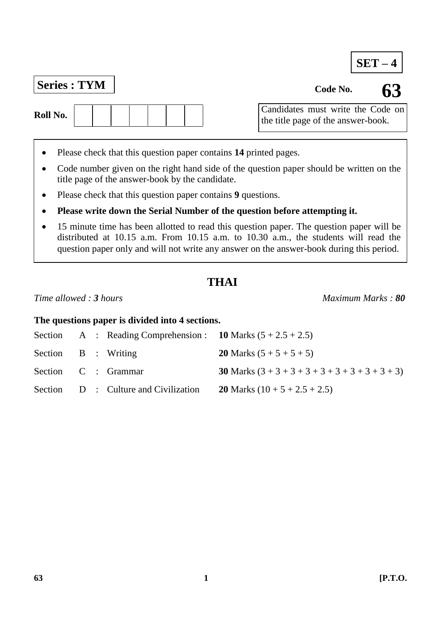## **Series : TYM Code No. Code No.**

- Please check that this question paper contains **14** printed pages.
- Code number given on the right hand side of the question paper should be written on the title page of the answer-book by the candidate.
- Please check that this question paper contains **9** questions.
- **Please write down the Serial Number of the question before attempting it.**
- 15 minute time has been allotted to read this question paper. The question paper will be distributed at 10.15 a.m. From 10.15 a.m. to 10.30 a.m., the students will read the question paper only and will not write any answer on the answer-book during this period.

### **THAI**

#### *Time allowed : 3 hours Maximum Marks : 80*

**The questions paper is divided into 4 sections.**

|                     |  | Section A : Reading Comprehension : 10 Marks $(5 + 2.5 + 2.5)$ |                                                           |
|---------------------|--|----------------------------------------------------------------|-----------------------------------------------------------|
| Section B : Writing |  |                                                                | <b>20</b> Marks $(5 + 5 + 5 + 5)$                         |
|                     |  | Section C : Grammar                                            | <b>30</b> Marks $(3 + 3 + 3 + 3 + 3 + 3 + 3 + 3 + 3 + 3)$ |
|                     |  | Section D : Culture and Civilization                           | <b>20</b> Marks $(10 + 5 + 2.5 + 2.5)$                    |

**SET – 4**

Candidates must write the Code on the title page of the answer-book.

 $\overline{1}$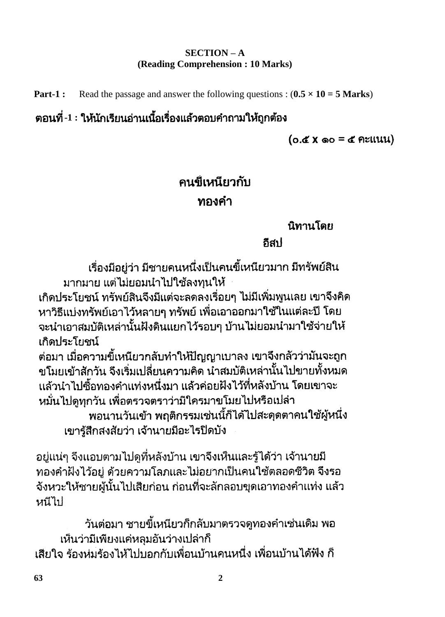### **SECTION – A (Reading Comprehension : 10 Marks)**

**Part-1 :** Read the passage and answer the following questions :  $(0.5 \times 10 = 5 \text{ Marks})$ 

## ี่ ตอนที่ -1 : ให้นักเรียนอ่านเนื้อเรื่องแล้วตอบคำถามให้ถกต้อง

 $(0.6 \times 0) = 6$  Atilliangled  $(0.6 \times 0)$ 

## คนขี้เหนียวกับ ทองคำ

นิทานโดย

กีสป

้เรื่องมีอยู่ว่า มีชายคนหนึ่งเป็นคนขี้เหนียวมาก มีทรัพย์สิน มากมาย แต่ไม่ยอมนำไปใช้ลงทนให้

เกิดประโยชน์ ทรัพย์สินจึงมีแต่จะลดลงเรื่อยๆ ไม่มีเพิ่มพูนเลย เขาจึงคิด หาวิธีแบ่งทรัพย์เอาไว้หลายๆ ทรัพย์ เพื่อเอาออกมาใช้ในแต่ละปี โดย จะนำเอาสมบัติเหล่านั้นฝังดินแยกไว้รอบๆ บ้านไม่ยอมนำมาใช้จ่ายให้ เกิดประโยชน์

ต่อมา เมื่อความขี้เหนียวกลับทำให้ปัญญาเบาลง เขาจึงกลัวว่ามันจะถูก ขโมยเข้าสักวัน จึงเริ่มเปลี่ยนความคิด น้ำสมบัติเหล่านั้นไปขายทั้งหมด ้แล้วนำไปซื้อทองคำแท่งหนึ่งมา แล้วค่อยฝังไว้ที่หลังบ้าน โดยเขาจะ หมั่นไปดูทุกวัน เพื่อตรวจตราว่ามีใครมาขโมยไปหรือเปล่า ี พอนานวันเข้า พฤติกรรมเช่นนี้ก็ได้ไปสะดุดตาคนใช้ผู้หนึ่ง เขารู้สึกสงสัยว่า เจ้านายมีอะไรปิดบัง

้อยู่แน่ๆ จึงแอบตามไปดที่หลังบ้าน เขาจึงเห็นและรู้ได้ว่า เจ้านายมี ทองคำฝังไว้อย่ ด้วยความโลภและไม่อยากเป็นคนใช้ตลอดชีวิต จึงรอ ้จังหวะให้ชายผู้นั้นไปเสียก่อน ก่อนที่จะลักลอบขุดเอาทองคำแท่ง แล้ว หนีไป

้วันต่อมา ชายขี้เหนียวก็กลับมาตรวจดูทองคำเช่นเดิม พอ เห็นว่ามีเพียงแค่หลุมอันว่างเปล่าก็ ้เสียใจ ร้องห่มร้องไห้ไปบอกกับเพื่อนบ้านคนหนึ่ง เพื่อนบ้านได้ฟัง ก็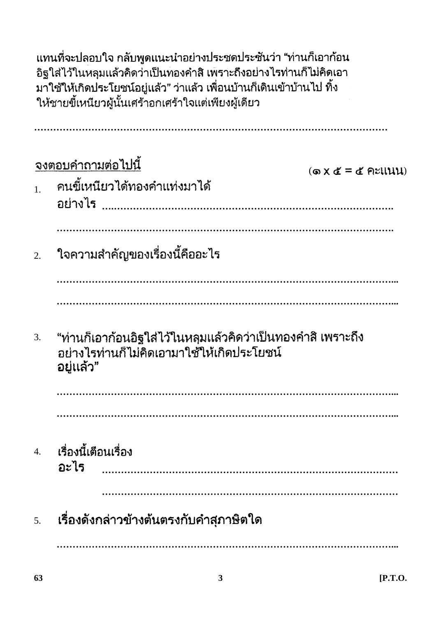้แทนที่จะปลอบใจ กลับพูดแนะนำอย่างประชดประชันว่า "ท่านก็เอาก้อน อิฐใส่ไว้ในหลุมแล้วคิดว่าเป็นทองคำสิ เพราะถึงอย่างไรท่านก็ไม่คิดเอา ้มาใช้ให้เกิดประโยชน์อยู่แล้ว" ว่าแล้ว เพื่อนบ้านก็เดินเข้าบ้านไป ทิ้ง ให้ชายขี้เหนียวผู้นั้นเศร้าอกเศร้าใจแต่เพียงผู้เดียว

จงตอบคำถามต่อไปนี้  $(6x \& t = 6$  คะแนน) ิคนขี้เหนียวได้ทองคำแท่งมาได้  $\mathbf{1}$ atin15 ใจความสำคัญของเรื่องนี้คืออะไร  $\overline{2}$ . "ท่านก็เอาก้อนอิฐใส่ไว้ในหลุมแล้วคิดว่าเป็นทองคำสิ เพราะถึง  $\overline{3}$ . ือย่างไรท่านก็ไม่คิดเอามาใช้ให้เกิดประโยชน์ ่อยู่แล้ว" เรื่องนี้เตือนเรื่อง  $\overline{4}$ . ่ภะไร 

้เรื่องดังกล่าวข้างต้นตรงกับคำสุภาษิตใด  $\overline{5}$ .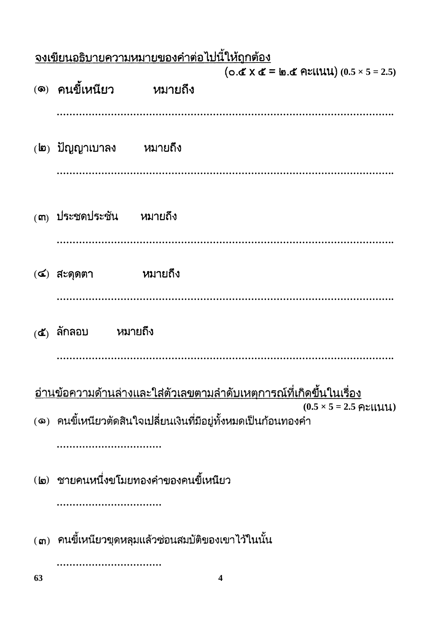|    | <u>จงเขียนอธิบายความหมายของคำต่อไปนี้ให้ถูกต้อง</u>             |         |                                                                            |  |  |  |  |  |
|----|-----------------------------------------------------------------|---------|----------------------------------------------------------------------------|--|--|--|--|--|
|    | (๑) คนขี้เหนียว                                                 | หมายถึง | $(0.6 \times 10^{-10})$ = 0.6 Atilly (0.5 × 5 = 2.5)                       |  |  |  |  |  |
|    | (๒) ปัญญาเบาลง หมายถึง                                          |         |                                                                            |  |  |  |  |  |
|    | (๓) ประชดประชัน หมายถึง                                         |         |                                                                            |  |  |  |  |  |
|    | หมายถึง<br>$($ ๔) สะดุดตา                                       |         |                                                                            |  |  |  |  |  |
|    | $(\mathbf{d})$ ลักลอบ หมายถึง                                   |         |                                                                            |  |  |  |  |  |
|    |                                                                 |         | <u>อ่านข้อความด้านล่างและใส่ตัวเลขตามลำดับเหตุการณ์ที่เกิดขึ้นในเรื่อง</u> |  |  |  |  |  |
|    | (๑) คนขี้เหนียวตัดสินใจเปลี่ยนเงินที่มีอยู่ทั้งหมดเป็นก้อนทองคำ |         | $(0.5 \times 5 = 2.5$ คะแนน)                                               |  |  |  |  |  |
|    | (๒) ชายคนหนึ่งขโมยทองคำของคนขี้เหนียว                           |         |                                                                            |  |  |  |  |  |
|    | (๓) คนขี้เหนียวขุดหลุมแล้วซ่อนสมบัติของเขาไว้ในนั้น             |         |                                                                            |  |  |  |  |  |
| 63 |                                                                 | 4       |                                                                            |  |  |  |  |  |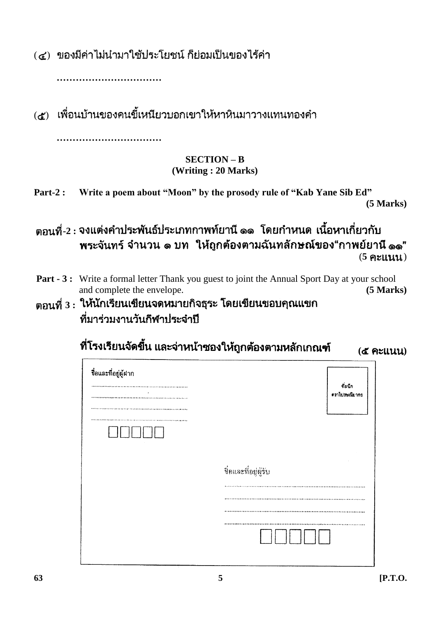(๔) ของมีค่าไม่นำมาใช้ประโยชน์ ก็ย่อมเป็นของไร้ค่า

**……………………………**

(๕) เพื่อนบ้านของคนขี้เหนียวบอกเขาให้หาหินมาวางแทนทองคำ **……………………………**

### **SECTION – B (Writing : 20 Marks)**

- **Part-2 : Write a poem about "Moon" by the prosody rule of "Kab Yane Sib Ed" (5 Marks)**
- ีตอนที่-2 : จงแต่งคำประพันธ์ประเภทกาพท์ยานี ๑๑ โดยกำหนด เนื้อหาเกี่ยวกับ พระจันทร์ จำนวน ๑ บท ให้ถูกต้องตามฉันทลักษณ์ของ"กาพย์ยานี ๑๑"  $(5$   $\epsilon$ **)**  $(1111)$
- **Part 3 :** Write a formal letter Thank you guest to joint the Annual Sport Day at your school and complete the envelope. **(5 Marks)**
- ์ตอนที่ 3 : ให้นักเรียนเขียนจดหมายกิจธุระ โดยเขียนขอบคุณแขก ที่มาร่วมงานวันกีฬาประจำปี

ที่โรงเรียนจัดขึ้น และจ่าหน้าซองให้ถูกต้องตามหลักเกณฑ์ **( )**

| ชื่อและที่อยู่ผู้ฝาก |                          |
|----------------------|--------------------------|
| $\cdot$<br>$\sim$    | ที่ผนึก<br>คราไปรษณียากร |
|                      |                          |
|                      | ชื่อและที่อยู่ผู้รับ     |
|                      |                          |
|                      |                          |
|                      |                          |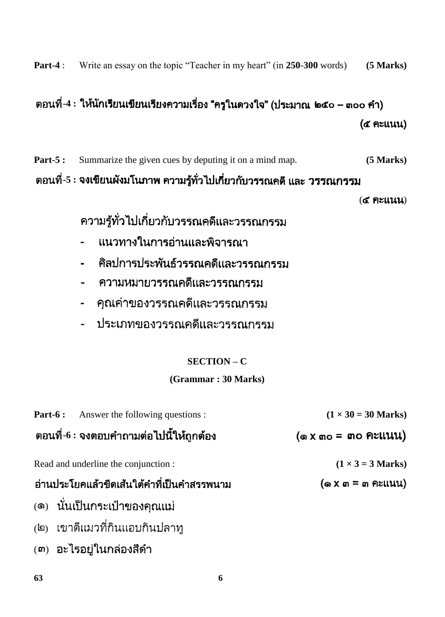**Part-4** : Write an essay on the topic "Teacher in my heart" (in **250**-**300** words) **(5 Marks)**

# ีตอนที่-4 : ให้นักเรียนเขียนเรียงความเรื่อง "ครูในดวงใจ" (ประมาณ ๒๕๐ – ๓๐๐ คำ) (of Atliuu)

**Part-5 :** Summarize the given cues by deputing it on a mind map. **(5 Marks)** ี่ ตอนที่-5 : จงเขียนผังมโนภาพ ความรู้ทั่วไปเกี่ยวกับวรรณคดี และ วรรณกรรม

 $(d$  Atllu $u)$ 

ความรู้ทั่วไปเกี่ยวกับวรรณคดีและวรรณกรรม

- ีแนวทางในการอ่านและพิจารณา  $\blacksquare$
- ศิลปการประพันธ์วรรณคดีและวรรณกรรม
- ิความหมายวรรณคดีและวรรณกรรม  $\blacksquare$
- คุณค่าของวรรณคดีและวรรณกรรม  $\overline{a}$
- ประเภทของวรรณคดีและวรรณกรรม  $\overline{a}$

## **SECTION – C**

### **(Grammar : 30 Marks)**

| <b>Part-6:</b> Answer the following questions : | $(1 \times 30 = 30$ Marks)                     |
|-------------------------------------------------|------------------------------------------------|
| ิตอนที่-6 : จงตอบคำถามต่อไปนี้ให้ถูกต้อง        | $(a \times a)$ = and figural $(a \times a)$    |
| Read and underline the conjunction :            | $(1 \times 3 = 3$ Marks)                       |
| อ่านประโยคแล้วขีดเส้นใต้คำที่เป็นคำสรรพนาม      | $(\omega \times \omega = \omega \text{PEUUU})$ |
| (๑) นั่นเป็นกระเป๋าของคุณแม่                    |                                                |
| (๒) เขาตีแมวที่กินแอบกินปลาทู                   |                                                |
|                                                 |                                                |

 $(m)$  อะไรอยู่ในกล่องสีดำ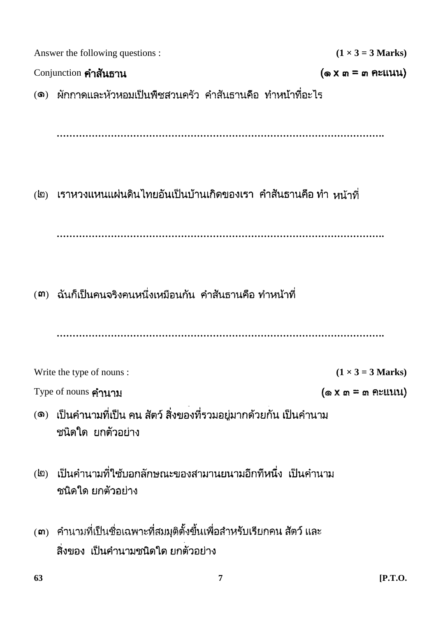|                                                                                  | Answer the following questions :                                                                               |                                                  |  |  |  |  |  |  |
|----------------------------------------------------------------------------------|----------------------------------------------------------------------------------------------------------------|--------------------------------------------------|--|--|--|--|--|--|
|                                                                                  | $(1 \times 3 = 3$ Marks)                                                                                       |                                                  |  |  |  |  |  |  |
| Conjunction คำสันธาน<br>$(\omega \times \omega = \omega \text{同} \times \omega)$ |                                                                                                                |                                                  |  |  |  |  |  |  |
|                                                                                  | ้ (๑) ผักกาดและหัวหอมเป็นพืชสวนครัว คำสันธานคือ ทำหน้าที่อะไร                                                  |                                                  |  |  |  |  |  |  |
|                                                                                  |                                                                                                                |                                                  |  |  |  |  |  |  |
|                                                                                  | (๒) เราหวงแหนแผ่นดินไทยอันเป็นบ้านเกิดของเรา คำสันธานคือ ทำ หน้าที่                                            |                                                  |  |  |  |  |  |  |
|                                                                                  | (๓)  ฉันก็เป็นคนจริงคนหนึ่งเหมือนกัน  คำสันธานคือ ทำหน้าที่                                                    |                                                  |  |  |  |  |  |  |
|                                                                                  |                                                                                                                |                                                  |  |  |  |  |  |  |
|                                                                                  | Write the type of nouns :                                                                                      | $(1 \times 3 = 3$ Marks)                         |  |  |  |  |  |  |
|                                                                                  | Type of nouns คำนาม                                                                                            | $(\circledast x \circ x) = \circledast x$ Pulluu |  |  |  |  |  |  |
|                                                                                  | (๑) เป็นคำนามที่เป็น คน สัตว์ สิ่งของที่รวมอยู่มากด้วยกัน เป็นคำนาม<br>ชนิดใด ยกตัวอย่าง                       |                                                  |  |  |  |  |  |  |
|                                                                                  | (๒) เป็นคำนามที่ใช้บอกลักษณะของสามานยนามอีกทีหนึ่ง เป็นคำนาม<br>ชนิดใด ยกตัวอย่าง                              |                                                  |  |  |  |  |  |  |
|                                                                                  | (๓)   คำนามที่เป็นชื่อเฉพาะที่สมมุติตั้งขึ้นเพื่อสำหรับเรียกคน สัตว์ และ<br>สิ่งของ เป็นคำนามชนิดใด ยกตัวอย่าง |                                                  |  |  |  |  |  |  |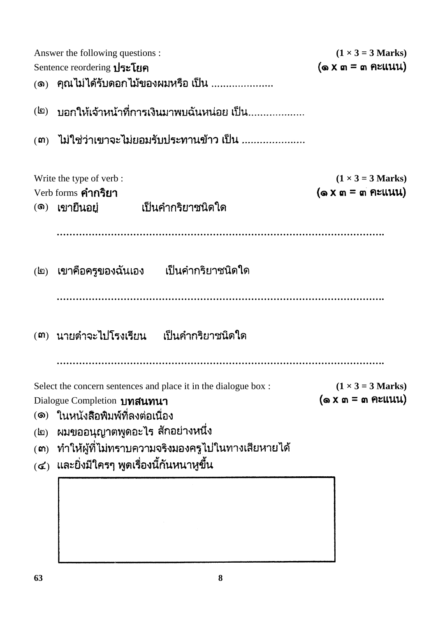|                              | Answer the following questions :                                | $(1 \times 3 = 3$ Marks)                          |
|------------------------------|-----------------------------------------------------------------|---------------------------------------------------|
|                              | Sentence reordering <b>ประโยค</b>                               | $(\circledast x \circ x) = \circledast x \circ x$ |
|                              | (๑)   คุณไม่ได้รับดอกไม้ของผมหรือ เป็น                          |                                                   |
|                              | (๒) บอกให้เจ้าหน้าที่การเงินมาพบฉันหน่อย เป็น                   |                                                   |
|                              | (๓) ไม่ใช่ว่าเขาจะไม่ยอมรับประทานข้าว เป็น                      |                                                   |
|                              | Write the type of verb :                                        | $(1 \times 3 = 3$ Marks)                          |
|                              | Verb forms คำกริยา<br>เป็นคำกริยาชนิดใด<br>(๑) เขายืนอยู่       | $(\omega \times \omega)$ = $\omega$ คะแนน)        |
|                              |                                                                 |                                                   |
|                              | (๒) เขาคือครูของฉันเอง  เป็นคำกริยาชนิดใด                       |                                                   |
|                              |                                                                 |                                                   |
|                              | (๓) นายดำจะไปโรงเรียน  เป็นคำกริยาชนิดใด                        |                                                   |
|                              |                                                                 |                                                   |
|                              | Select the concern sentences and place it in the dialogue box : | $(1 \times 3 = 3$ Marks)                          |
|                              | Dialogue Completion <b>UNGUNUT</b>                              | (๑ X ๓ = ๓ ฅะแนน)                                 |
| (⑤)                          | <u>ในหนังสือพิมพ์ที่ลงต่อเนื่อง</u>                             |                                                   |
| $\mathbf{E}$                 | ผมขออนุญาตพูดอะไร สักอย่างหนึ่ง                                 |                                                   |
| (m)                          | ทำให้ผู้ที่ไม่ทราบความจริงมองครูไปในทางเสียหายได้               |                                                   |
| $\left(\mathbf{\leq}\right)$ | และยิ่งมีใครๆ พูดเรื่องนี้กันหนาหูขึ้น                          |                                                   |
|                              |                                                                 |                                                   |
|                              |                                                                 |                                                   |
|                              |                                                                 |                                                   |
|                              |                                                                 |                                                   |
|                              |                                                                 |                                                   |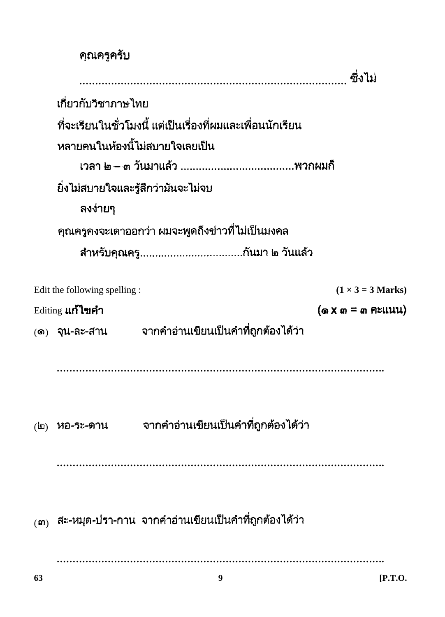|              | คุณครูครับ                   |                                                                           |                                                          |
|--------------|------------------------------|---------------------------------------------------------------------------|----------------------------------------------------------|
|              |                              |                                                                           | ซึ่งไม่                                                  |
|              | เกี่ยวกับวิชาภาษไทย          |                                                                           |                                                          |
|              |                              | ที่จะเรียนในชั่วโมงนี้ แต่เป็นเรื่องที่ผมและเพื่อนนักเรียน                |                                                          |
|              |                              | หลายคนในห้องนี้ไม่สบายใจเลยเป็น                                           |                                                          |
|              |                              |                                                                           |                                                          |
|              |                              | ยิ่งไม่สบายใจและรู้สึกว่ามันจะไม่จบ                                       |                                                          |
|              | ลงง่ายๆ                      |                                                                           |                                                          |
|              |                              | คุณครูคงจะเดาออกว่า ผมจะพูดถึงข่าวที่ไม่เป็นมงคล                          |                                                          |
|              |                              |                                                                           |                                                          |
|              |                              |                                                                           |                                                          |
|              | Edit the following spelling: |                                                                           | $(1 \times 3 = 3$ Marks)                                 |
|              | Editing <b>แก้ไขคำ</b>       |                                                                           | $(\omega \times \omega) = \omega \cdot \text{P}\text{E}$ |
|              |                              | (๑) จุน-ละ-สาน   จากคำอ่านเขียนเป็นคำที่ถูกต้องได้ว่า                     |                                                          |
|              |                              |                                                                           |                                                          |
|              |                              |                                                                           |                                                          |
|              |                              |                                                                           |                                                          |
| $\mathbf{E}$ |                              | ้หอ-ระ-ดาน จากคำอ่านเขียนเป็นคำที่ถูกต้องได้ว่า                           |                                                          |
|              |                              |                                                                           |                                                          |
|              |                              |                                                                           |                                                          |
|              |                              |                                                                           |                                                          |
|              |                              | $\left($ ๓ $\right)$ สะ-หมุด-ปรา-กาน จากคำอ่านเขียนเป็นคำที่ถูกต้องได้ว่า |                                                          |
|              |                              |                                                                           |                                                          |
|              |                              |                                                                           |                                                          |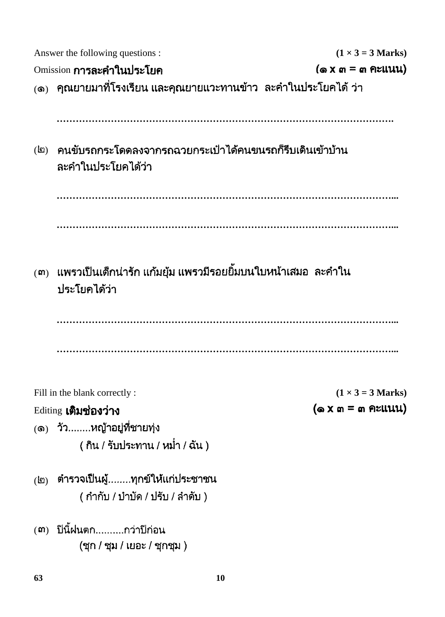|              | Answer the following questions :                                               | $(1 \times 3 = 3$ Marks)                     |  |  |  |  |  |  |  |  |
|--------------|--------------------------------------------------------------------------------|----------------------------------------------|--|--|--|--|--|--|--|--|
|              | Omission <b>การละคำในประโยค</b>                                                | $(\omega \times \omega)$ = $\omega$ Printly) |  |  |  |  |  |  |  |  |
|              | <sub>(</sub> ๑)   คุณยายมาที่โรงเรียน และคุณยายแวะทานข้าว  ละคำในประโยคได้ ว่า |                                              |  |  |  |  |  |  |  |  |
|              |                                                                                |                                              |  |  |  |  |  |  |  |  |
|              |                                                                                |                                              |  |  |  |  |  |  |  |  |
| $\mathbf{E}$ | ิคนขับรถกระโดดลงจากรถฉวยกระเป๋าได้คนขนรถก็รีบเดินเข้าบ้าน                      |                                              |  |  |  |  |  |  |  |  |
|              | ละคำในประโยคได้ว่า                                                             |                                              |  |  |  |  |  |  |  |  |
|              |                                                                                |                                              |  |  |  |  |  |  |  |  |
|              |                                                                                |                                              |  |  |  |  |  |  |  |  |
|              |                                                                                |                                              |  |  |  |  |  |  |  |  |
|              |                                                                                |                                              |  |  |  |  |  |  |  |  |
|              |                                                                                |                                              |  |  |  |  |  |  |  |  |
| (m)          | ี แพรวเป็นเด็กน่ารัก แก้มยุ้ม แพรวมีรอยยิ้มบนใบหน้าเสมอ  ละคำใน                |                                              |  |  |  |  |  |  |  |  |
|              | ประโยคได้ว่า                                                                   |                                              |  |  |  |  |  |  |  |  |
|              |                                                                                |                                              |  |  |  |  |  |  |  |  |
|              |                                                                                |                                              |  |  |  |  |  |  |  |  |
|              |                                                                                |                                              |  |  |  |  |  |  |  |  |
|              |                                                                                |                                              |  |  |  |  |  |  |  |  |
|              | Fill in the blank correctly:                                                   | $(1 \times 3 = 3$ Marks)                     |  |  |  |  |  |  |  |  |
|              | Editing <b>เติมช่องว่าง</b>                                                    | $(\circ x \circ x) = \circ x \circ y$        |  |  |  |  |  |  |  |  |
|              | (๑) วัวหญ้าอยู่ที่ชายทุ่ง                                                      |                                              |  |  |  |  |  |  |  |  |
|              | (กิน / รับประทาน / หม่ำ / ฉัน)                                                 |                                              |  |  |  |  |  |  |  |  |
|              |                                                                                |                                              |  |  |  |  |  |  |  |  |
| $\mathbf{d}$ | ตำรวจเป็นผู้ทุกข์ให้แก่ประชาชน                                                 |                                              |  |  |  |  |  |  |  |  |
|              | ( กำกับ / บำบัด / ปรับ / ลำดับ )                                               |                                              |  |  |  |  |  |  |  |  |
|              |                                                                                |                                              |  |  |  |  |  |  |  |  |
|              | (๓) ปีนี้ฝนตกกว่าปีก่อน<br>(ชุก / ชุม / เยอะ / ชุกชุม )                        |                                              |  |  |  |  |  |  |  |  |
|              |                                                                                |                                              |  |  |  |  |  |  |  |  |
| 63           | 10                                                                             |                                              |  |  |  |  |  |  |  |  |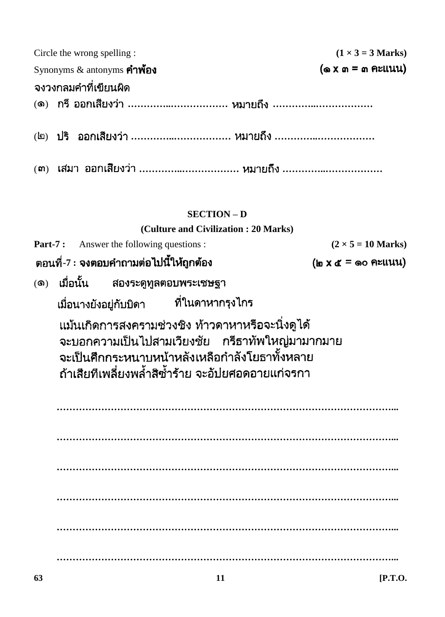| Circle the wrong spelling :<br>Synonyms $\&$ antonyms คำพ้อง                                                                                                                                                                                             |  |                                  |  |  |  |  |                                      |  |                    |  |  | $(1 \times 3 = 3$ Marks)<br>$(\omega \times \omega) = \omega$ คะแนน) |                              |  |  |                           |  |
|----------------------------------------------------------------------------------------------------------------------------------------------------------------------------------------------------------------------------------------------------------|--|----------------------------------|--|--|--|--|--------------------------------------|--|--------------------|--|--|----------------------------------------------------------------------|------------------------------|--|--|---------------------------|--|
| จงวงกลมคำที่เขียนผิด                                                                                                                                                                                                                                     |  |                                  |  |  |  |  |                                      |  |                    |  |  |                                                                      |                              |  |  |                           |  |
| (๑) กรี ออกเสียงว่า  หมายถึง                                                                                                                                                                                                                             |  |                                  |  |  |  |  |                                      |  |                    |  |  |                                                                      |                              |  |  |                           |  |
|                                                                                                                                                                                                                                                          |  |                                  |  |  |  |  |                                      |  |                    |  |  |                                                                      |                              |  |  |                           |  |
| (๓) เสมา ออกเสียงว่า  หมายถึง                                                                                                                                                                                                                            |  |                                  |  |  |  |  |                                      |  |                    |  |  |                                                                      |                              |  |  |                           |  |
|                                                                                                                                                                                                                                                          |  |                                  |  |  |  |  |                                      |  | <b>SECTION - D</b> |  |  |                                                                      |                              |  |  |                           |  |
|                                                                                                                                                                                                                                                          |  |                                  |  |  |  |  | (Culture and Civilization: 20 Marks) |  |                    |  |  |                                                                      |                              |  |  |                           |  |
| <b>Part-7:</b>                                                                                                                                                                                                                                           |  |                                  |  |  |  |  |                                      |  |                    |  |  |                                                                      |                              |  |  | $(2 \times 5 = 10$ Marks) |  |
| Answer the following questions :<br>็ตอนที่-7 : จงตอบคำถามต่อไปนี้ให้ถูกต้อง                                                                                                                                                                             |  |                                  |  |  |  |  |                                      |  |                    |  |  |                                                                      | $(\ln x \leq x)$ = 00 Pright |  |  |                           |  |
| $\circledS$                                                                                                                                                                                                                                              |  | ้เมื่อนั้น สองระดูทูลตอบพระเชษฐา |  |  |  |  |                                      |  |                    |  |  |                                                                      |                              |  |  |                           |  |
|                                                                                                                                                                                                                                                          |  |                                  |  |  |  |  |                                      |  |                    |  |  |                                                                      |                              |  |  |                           |  |
| เมื่อนางยังอยู่กับบิดา ที่ในดาหากรุงไกร<br>ู้แม้นเกิดการสงครามช่วงชิง ท้าวดาหาหรือจะนิ่งดูได้<br>จะบอกความเป็นไปสามเวียงชัย กรีธาทัพใหญ่มามากมาย<br>จะเป็นศึกกระหนาบหน้าหลังเหลือกำลังโยธาทั้งหลาย<br>้ถ้าเสียทีเพลี่ยงพล้ำสิซ้ำร้าย จะอัปยศอดอายแก่จรกา |  |                                  |  |  |  |  |                                      |  |                    |  |  |                                                                      |                              |  |  |                           |  |
|                                                                                                                                                                                                                                                          |  |                                  |  |  |  |  |                                      |  |                    |  |  |                                                                      |                              |  |  |                           |  |
|                                                                                                                                                                                                                                                          |  |                                  |  |  |  |  |                                      |  |                    |  |  |                                                                      |                              |  |  |                           |  |
|                                                                                                                                                                                                                                                          |  |                                  |  |  |  |  |                                      |  |                    |  |  |                                                                      |                              |  |  |                           |  |
|                                                                                                                                                                                                                                                          |  |                                  |  |  |  |  |                                      |  |                    |  |  |                                                                      |                              |  |  |                           |  |
|                                                                                                                                                                                                                                                          |  |                                  |  |  |  |  |                                      |  |                    |  |  |                                                                      |                              |  |  |                           |  |
|                                                                                                                                                                                                                                                          |  |                                  |  |  |  |  |                                      |  |                    |  |  |                                                                      |                              |  |  |                           |  |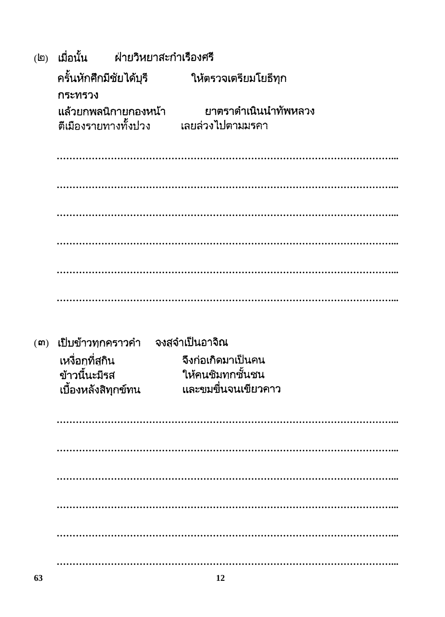| $\mathbf{E}$ | เมื่อนั้น               | ฝ่ายวิหยาสะกำเรืองศรี  |                                           |  |  |  |  |  |  |  |
|--------------|-------------------------|------------------------|-------------------------------------------|--|--|--|--|--|--|--|
|              | ครั้นหักศึกมีชัยได้บุรี |                        | ให้ตรวจเตรียมโยธีทุก                      |  |  |  |  |  |  |  |
|              | กระทรวง                 |                        |                                           |  |  |  |  |  |  |  |
|              | ตีเมืองรายทางทั้งปวง    | ู แล้วยกพลนิกายกองหน้า | ยาตราดำเนินนำทัพหลวง<br>้เลยล่วงไปตามมรคา |  |  |  |  |  |  |  |
|              |                         |                        |                                           |  |  |  |  |  |  |  |
|              |                         |                        |                                           |  |  |  |  |  |  |  |
|              |                         |                        |                                           |  |  |  |  |  |  |  |
|              |                         |                        |                                           |  |  |  |  |  |  |  |
|              |                         |                        |                                           |  |  |  |  |  |  |  |
|              |                         |                        |                                           |  |  |  |  |  |  |  |
| (m)          | เป็บข้าวทุกคราวคำ       |                        | จงสุจำเป็นอาจิณ                           |  |  |  |  |  |  |  |
|              | เหงื่อกที่สุกิน         |                        | จึงก่อเกิดมาเป็นคน                        |  |  |  |  |  |  |  |
|              | ข้าวนี้นะมีรส           |                        | ให้คนชิมทุกชั้นชน                         |  |  |  |  |  |  |  |
|              | เบื้องหลังสิทุกข์ทน     |                        | และขมขื่นจนเขียวคาว                       |  |  |  |  |  |  |  |
|              |                         |                        |                                           |  |  |  |  |  |  |  |
|              |                         |                        |                                           |  |  |  |  |  |  |  |
|              |                         |                        |                                           |  |  |  |  |  |  |  |
|              |                         |                        |                                           |  |  |  |  |  |  |  |
|              |                         |                        |                                           |  |  |  |  |  |  |  |
|              |                         |                        |                                           |  |  |  |  |  |  |  |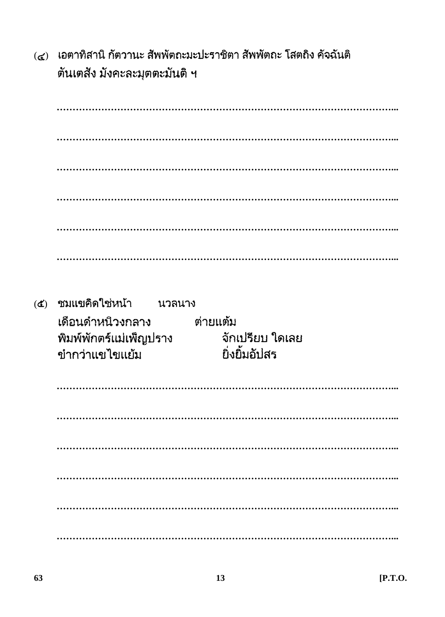(๔) เอตาทิสานิ กัตวานะ สัพพัตถะมะปะราชิตา สัพพัตถะ โสตถิง คัจฉันติ ตันเตสัง มังคะละมุตตะมันติ ฯ

(๕) ชมแขคิดใช่หน้า นวลนาง เดือนดำหนิวงกลาง ต่ายแต้ม พิมพ์พักตร์แม่เพ็ญปราง ้จักเปรียบ ใดเลย ยิ่งยิ้มอัปสร ขำกว่าแขไขแย้ม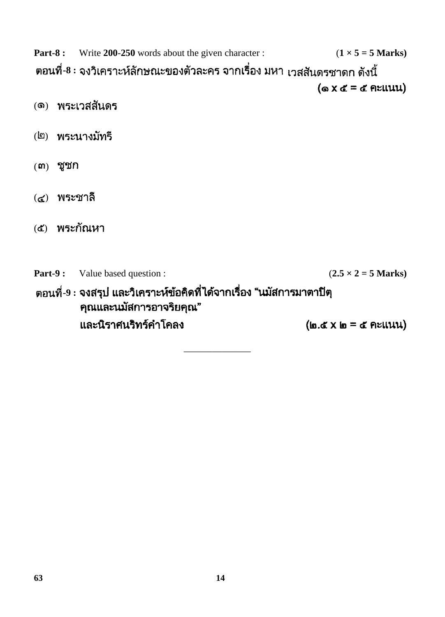**Part-8 :** Write 200-250 words about the given character :  $(1 \times 5 = 5 \text{ Marks})$ ์ ตอนที่-8 : จงวิเคราะห์ลักษณะของตัวละคร จากเรื่อง มหา <sub>เวสสันดรชาดก ดังนี้</sub>  $($ o  $X \notin E = \notin \mathsf{R}\cup \mathsf{U} \cup \mathsf{U}$ (๑) พระเวสสันดร (๒) พระนางมัทรี  $(m)$  ชูชก (๔) พระชาลี (๕) พระกัณหา **Part-9 :** Value based question : ( $2.5 \times 2 = 5$  Marks) ์ ตอนที่-9 : จงสรุป และวิเคราะห์ข้อคิดที่ได้จากเรื่อง "นมัสการมาตาปิตุ คุณและนมัสการอาจริยคุณ" และนิราศนริทร์คำโคลง  $(\mathfrak{g},\mathfrak{C}\times\mathfrak{g})=\mathfrak{C}$  Atlium

\_\_\_\_\_\_\_\_\_\_\_\_\_\_